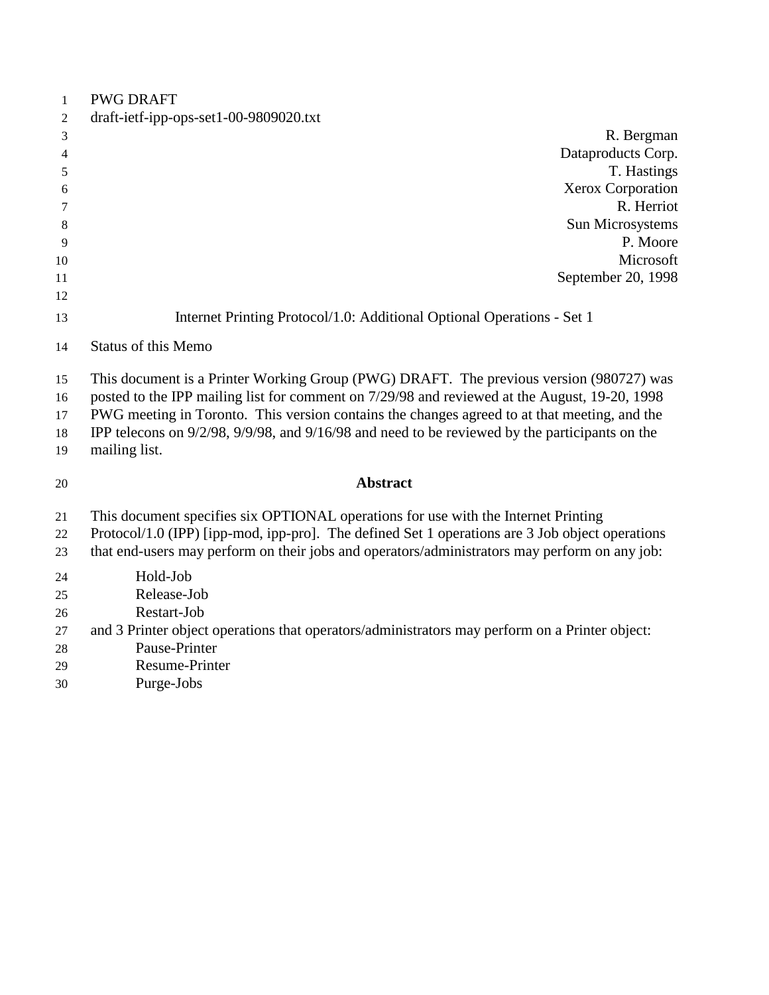| 1              | <b>PWG DRAFT</b>                                                                                |
|----------------|-------------------------------------------------------------------------------------------------|
| $\overline{2}$ | draft-ietf-ipp-ops-set1-00-9809020.txt                                                          |
| 3              | R. Bergman                                                                                      |
| 4              | Dataproducts Corp.                                                                              |
| 5              | T. Hastings                                                                                     |
| 6              | Xerox Corporation                                                                               |
| 7              | R. Herriot                                                                                      |
| 8              | Sun Microsystems                                                                                |
| 9              | P. Moore                                                                                        |
| 10             | Microsoft                                                                                       |
| 11             | September 20, 1998                                                                              |
| 12             |                                                                                                 |
| 13             | Internet Printing Protocol/1.0: Additional Optional Operations - Set 1                          |
| 14             | <b>Status of this Memo</b>                                                                      |
| 15             | This document is a Printer Working Group (PWG) DRAFT. The previous version (980727) was         |
| 16             | posted to the IPP mailing list for comment on 7/29/98 and reviewed at the August, 19-20, 1998   |
| 17             | PWG meeting in Toronto. This version contains the changes agreed to at that meeting, and the    |
| 18             | IPP telecons on 9/2/98, 9/9/98, and 9/16/98 and need to be reviewed by the participants on the  |
| 19             | mailing list.                                                                                   |
| 20             | <b>Abstract</b>                                                                                 |
| 21             | This document specifies six OPTIONAL operations for use with the Internet Printing              |
| 22             | Protocol/1.0 (IPP) [ipp-mod, ipp-pro]. The defined Set 1 operations are 3 Job object operations |
| 23             | that end-users may perform on their jobs and operators/administrators may perform on any job:   |
| 24             | Hold-Job                                                                                        |
| 25             | Release-Job                                                                                     |
| 26             | Restart-Job                                                                                     |
| 27             | and 3 Printer object operations that operators/administrators may perform on a Printer object:  |
| 28             | Pause-Printer                                                                                   |
| 29             | <b>Resume-Printer</b>                                                                           |
| 30             | Purge-Jobs                                                                                      |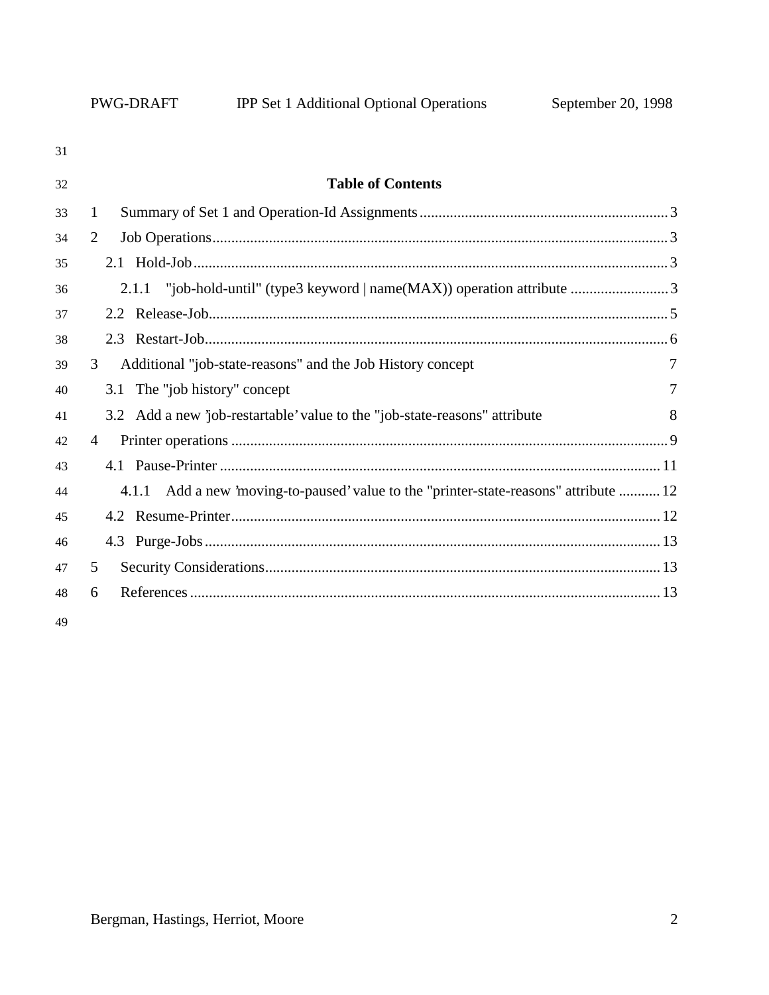| 31 |                                                                                          |   |
|----|------------------------------------------------------------------------------------------|---|
| 32 | <b>Table of Contents</b>                                                                 |   |
| 33 | 1                                                                                        |   |
| 34 | 2                                                                                        |   |
| 35 |                                                                                          |   |
| 36 | 2.1.1                                                                                    |   |
| 37 |                                                                                          |   |
| 38 |                                                                                          |   |
| 39 | Additional "job-state-reasons" and the Job History concept<br>3                          | 7 |
| 40 | 3.1 The "job history" concept                                                            | 7 |
| 41 | 3.2 Add a new 'job-restartable' value to the "job-state-reasons" attribute               | 8 |
| 42 | $\overline{4}$                                                                           |   |
| 43 |                                                                                          |   |
| 44 | Add a new 'moving-to-paused' value to the "printer-state-reasons" attribute  12<br>4.1.1 |   |
| 45 |                                                                                          |   |
| 46 |                                                                                          |   |
| 47 | 5                                                                                        |   |
| 48 | 6                                                                                        |   |
|    |                                                                                          |   |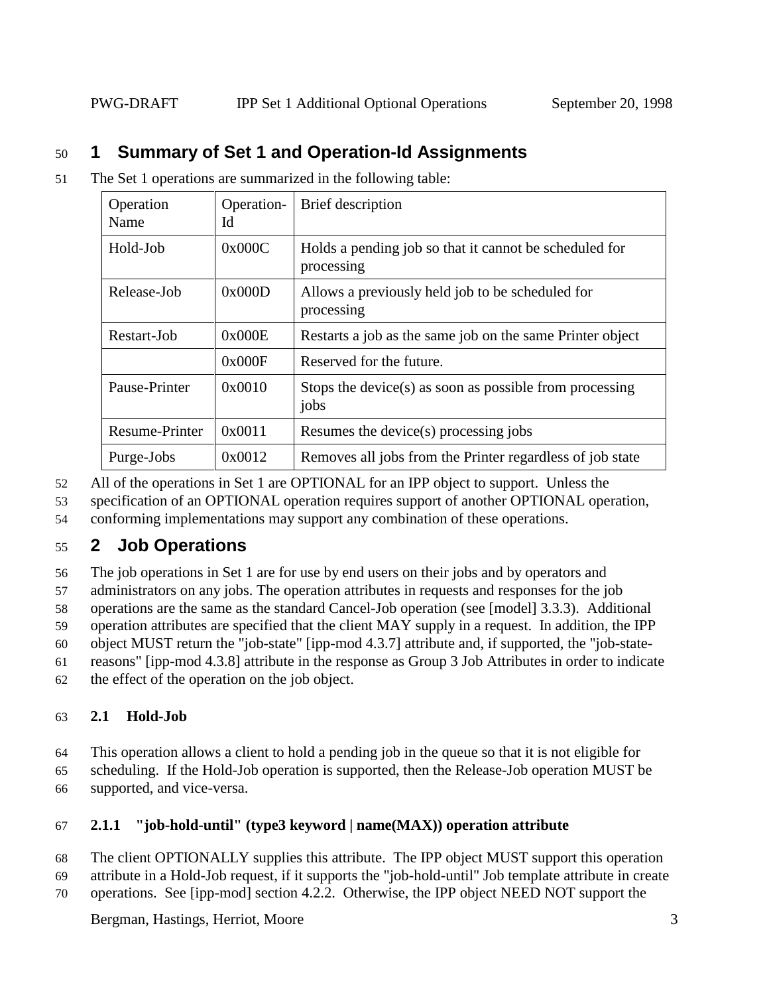# 50 **1 Summary of Set 1 and Operation-Id Assignments**

51 The Set 1 operations are summarized in the following table:

| Operation<br>Name | Operation-<br>Id | Brief description                                                    |  |
|-------------------|------------------|----------------------------------------------------------------------|--|
| Hold-Job          | 0x000C           | Holds a pending job so that it cannot be scheduled for<br>processing |  |
| Release-Job       | 0x000D           | Allows a previously held job to be scheduled for<br>processing       |  |
| Restart-Job       | 0x000E           | Restarts a job as the same job on the same Printer object            |  |
|                   | 0x000F           | Reserved for the future.                                             |  |
| Pause-Printer     | 0x0010           | Stops the device(s) as soon as possible from processing<br>jobs      |  |
| Resume-Printer    | 0x0011           | Resumes the device(s) processing jobs                                |  |
| Purge-Jobs        | 0x0012           | Removes all jobs from the Printer regardless of job state            |  |

- 52 All of the operations in Set 1 are OPTIONAL for an IPP object to support. Unless the
- 53 specification of an OPTIONAL operation requires support of another OPTIONAL operation,
- 54 conforming implementations may support any combination of these operations.

# 55 **2 Job Operations**

56 The job operations in Set 1 are for use by end users on their jobs and by operators and

57 administrators on any jobs. The operation attributes in requests and responses for the job

58 operations are the same as the standard Cancel-Job operation (see [model] 3.3.3). Additional

59 operation attributes are specified that the client MAY supply in a request. In addition, the IPP

60 object MUST return the "job-state" [ipp-mod 4.3.7] attribute and, if supported, the "job-state-

61 reasons" [ipp-mod 4.3.8] attribute in the response as Group 3 Job Attributes in order to indicate

62 the effect of the operation on the job object.

## 63 **2.1 Hold-Job**

64 This operation allows a client to hold a pending job in the queue so that it is not eligible for 65 scheduling. If the Hold-Job operation is supported, then the Release-Job operation MUST be

66 supported, and vice-versa.

## 67 **2.1.1 "job-hold-until" (type3 keyword | name(MAX)) operation attribute**

68 The client OPTIONALLY supplies this attribute. The IPP object MUST support this operation

- 69 attribute in a Hold-Job request, if it supports the "job-hold-until" Job template attribute in create
- 70 operations. See [ipp-mod] section 4.2.2. Otherwise, the IPP object NEED NOT support the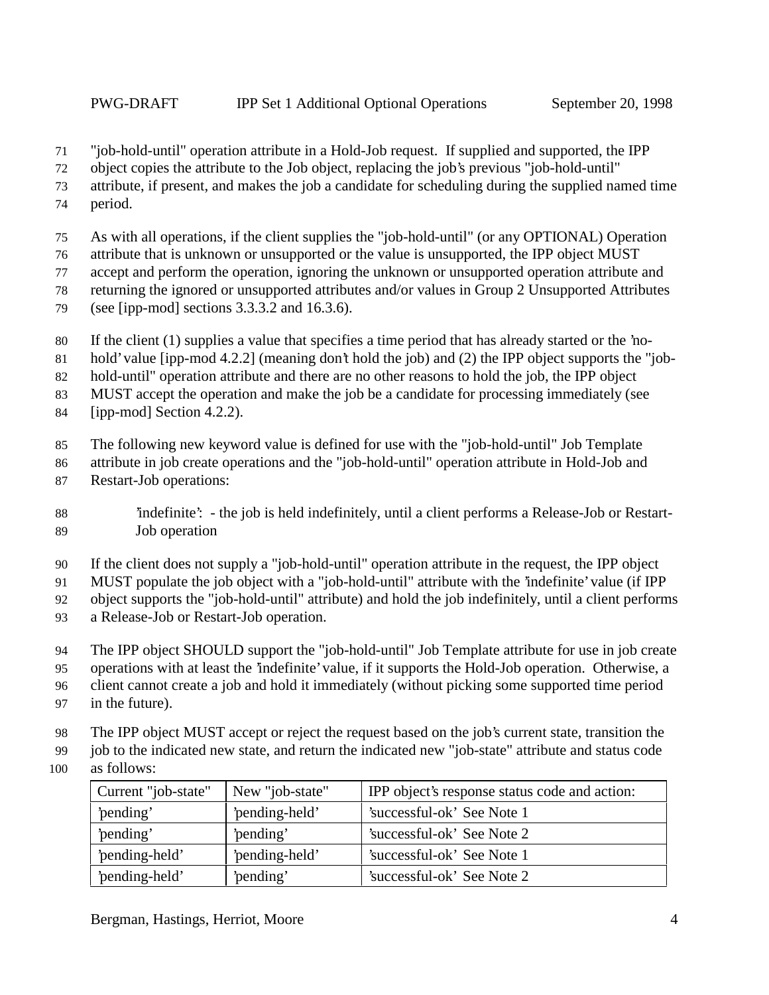"job-hold-until" operation attribute in a Hold-Job request. If supplied and supported, the IPP

object copies the attribute to the Job object, replacing the job's previous "job-hold-until"

attribute, if present, and makes the job a candidate for scheduling during the supplied named time

period.

As with all operations, if the client supplies the "job-hold-until" (or any OPTIONAL) Operation

attribute that is unknown or unsupported or the value is unsupported, the IPP object MUST

accept and perform the operation, ignoring the unknown or unsupported operation attribute and

returning the ignored or unsupported attributes and/or values in Group 2 Unsupported Attributes

- (see [ipp-mod] sections 3.3.3.2 and 16.3.6).
- If the client (1) supplies a value that specifies a time period that has already started or the 'no-
- hold' value [ipp-mod 4.2.2] (meaning don't hold the job) and (2) the IPP object supports the "job-

hold-until" operation attribute and there are no other reasons to hold the job, the IPP object

MUST accept the operation and make the job be a candidate for processing immediately (see

[ipp-mod] Section 4.2.2).

The following new keyword value is defined for use with the "job-hold-until" Job Template

attribute in job create operations and the "job-hold-until" operation attribute in Hold-Job and

Restart-Job operations:

 'indefinite': - the job is held indefinitely, until a client performs a Release-Job or Restart-Job operation

If the client does not supply a "job-hold-until" operation attribute in the request, the IPP object

MUST populate the job object with a "job-hold-until" attribute with the 'indefinite' value (if IPP

object supports the "job-hold-until" attribute) and hold the job indefinitely, until a client performs

- a Release-Job or Restart-Job operation.
- The IPP object SHOULD support the "job-hold-until" Job Template attribute for use in job create

operations with at least the 'indefinite' value, if it supports the Hold-Job operation. Otherwise, a

client cannot create a job and hold it immediately (without picking some supported time period

- in the future).
- The IPP object MUST accept or reject the request based on the job's current state, transition the
- job to the indicated new state, and return the indicated new "job-state" attribute and status code
- as follows:

| Current "job-state" | New "job-state" | IPP object's response status code and action: |
|---------------------|-----------------|-----------------------------------------------|
| 'pending'           | 'pending-held'  | 'successful-ok' See Note 1                    |
| 'pending'           | 'pending'       | 'successful-ok' See Note 2                    |
| 'pending-held'      | 'pending-held'  | 'successful-ok' See Note 1                    |
| 'pending-held'      | 'pending'       | 'successful-ok' See Note 2                    |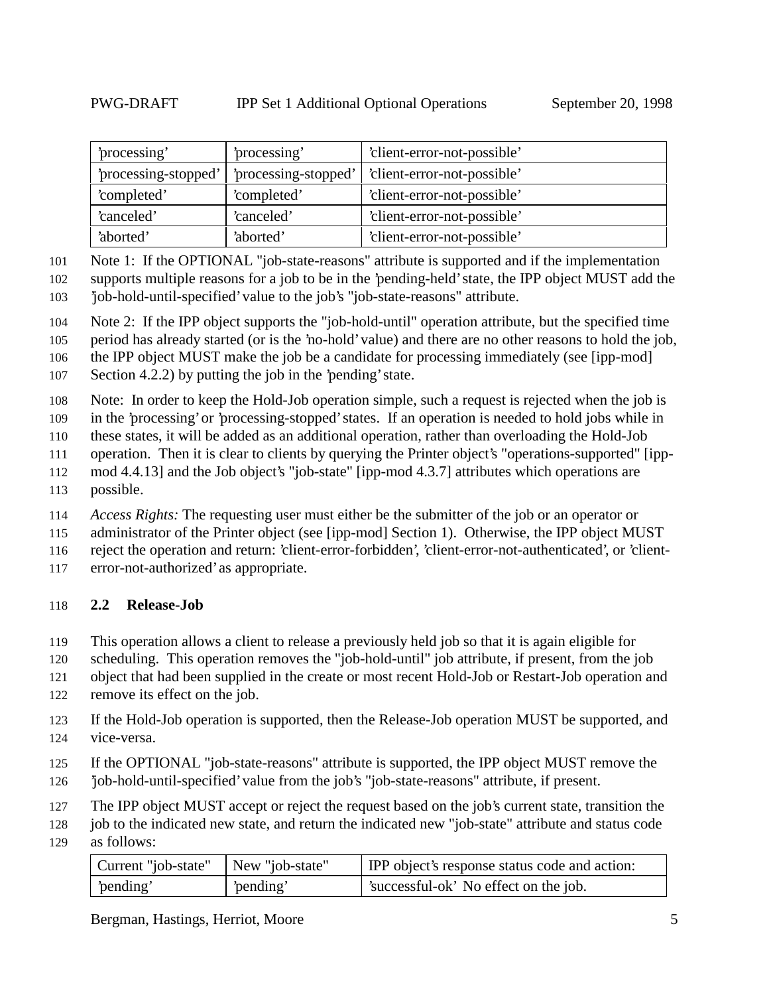| processing'<br>processing'                   |             | 'client-error-not-possible' |
|----------------------------------------------|-------------|-----------------------------|
| 'processing-stopped'<br>'processing-stopped' |             | 'client-error-not-possible' |
| 'completed'                                  | 'completed' | 'client-error-not-possible' |
| 'canceled'                                   | 'canceled'  | 'client-error-not-possible' |
| 'aborted'                                    | 'aborted'   | 'client-error-not-possible' |

Note 1: If the OPTIONAL "job-state-reasons" attribute is supported and if the implementation

 supports multiple reasons for a job to be in the 'pending-held' state, the IPP object MUST add the 'job-hold-until-specified' value to the job's "job-state-reasons" attribute.

Note 2: If the IPP object supports the "job-hold-until" operation attribute, but the specified time

period has already started (or is the 'no-hold' value) and there are no other reasons to hold the job,

the IPP object MUST make the job be a candidate for processing immediately (see [ipp-mod]

Section 4.2.2) by putting the job in the 'pending' state.

Note: In order to keep the Hold-Job operation simple, such a request is rejected when the job is

in the 'processing' or 'processing-stopped' states. If an operation is needed to hold jobs while in

these states, it will be added as an additional operation, rather than overloading the Hold-Job

- operation. Then it is clear to clients by querying the Printer object's "operations-supported" [ipp-
- mod 4.4.13] and the Job object's "job-state" [ipp-mod 4.3.7] attributes which operations are
- possible.

*Access Rights:* The requesting user must either be the submitter of the job or an operator or

administrator of the Printer object (see [ipp-mod] Section 1). Otherwise, the IPP object MUST

reject the operation and return: 'client-error-forbidden', 'client-error-not-authenticated', or 'client-

error-not-authorized' as appropriate.

## **2.2 Release-Job**

This operation allows a client to release a previously held job so that it is again eligible for

scheduling. This operation removes the "job-hold-until" job attribute, if present, from the job

- object that had been supplied in the create or most recent Hold-Job or Restart-Job operation and
- remove its effect on the job.
- If the Hold-Job operation is supported, then the Release-Job operation MUST be supported, and vice-versa.
- If the OPTIONAL "job-state-reasons" attribute is supported, the IPP object MUST remove the
- 'job-hold-until-specified' value from the job's "job-state-reasons" attribute, if present.
- The IPP object MUST accept or reject the request based on the job's current state, transition the

 job to the indicated new state, and return the indicated new "job-state" attribute and status code as follows:

| Current "job-state"   New "job-state" |           | <b>IPP</b> object's response status code and action: |
|---------------------------------------|-----------|------------------------------------------------------|
| pending'                              | 'pending' | 'successful-ok' No effect on the job.                |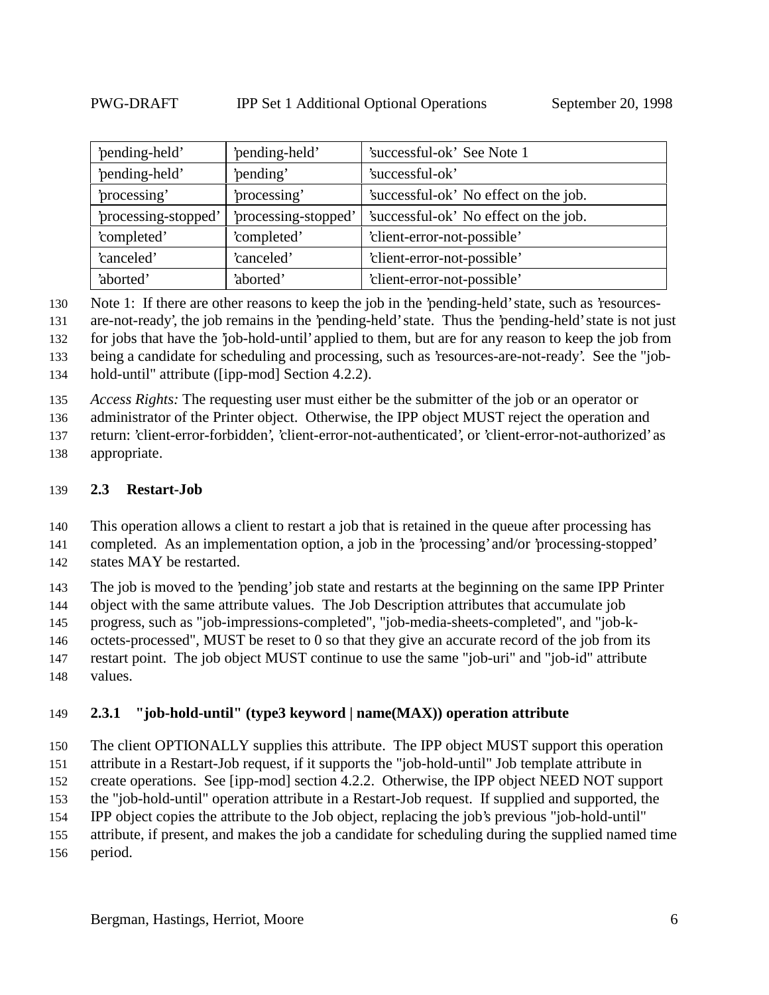| 'pending-held'               | 'pending-held'       | 'successful-ok' See Note 1            |
|------------------------------|----------------------|---------------------------------------|
| 'pending-held'<br>'pending'  |                      | 'successful-ok'                       |
| 'processing'<br>'processing' |                      | 'successful-ok' No effect on the job. |
| 'processing-stopped'         | 'processing-stopped' | 'successful-ok' No effect on the job. |
| 'completed'<br>'completed'   |                      | 'client-error-not-possible'           |
| 'canceled'                   | 'canceled'           | 'client-error-not-possible'           |
| 'aborted'                    | 'aborted'            | 'client-error-not-possible'           |

Note 1: If there are other reasons to keep the job in the 'pending-held' state, such as 'resources-

are-not-ready', the job remains in the 'pending-held' state. Thus the 'pending-held' state is not just

for jobs that have the 'job-hold-until' applied to them, but are for any reason to keep the job from

being a candidate for scheduling and processing, such as 'resources-are-not-ready'. See the "job-

hold-until" attribute ([ipp-mod] Section 4.2.2).

*Access Rights:* The requesting user must either be the submitter of the job or an operator or

administrator of the Printer object. Otherwise, the IPP object MUST reject the operation and

return: 'client-error-forbidden', 'client-error-not-authenticated', or 'client-error-not-authorized' as

appropriate.

#### **2.3 Restart-Job**

This operation allows a client to restart a job that is retained in the queue after processing has

completed. As an implementation option, a job in the 'processing' and/or 'processing-stopped'

states MAY be restarted.

The job is moved to the 'pending' job state and restarts at the beginning on the same IPP Printer

object with the same attribute values. The Job Description attributes that accumulate job

progress, such as "job-impressions-completed", "job-media-sheets-completed", and "job-k-

octets-processed", MUST be reset to 0 so that they give an accurate record of the job from its

 restart point. The job object MUST continue to use the same "job-uri" and "job-id" attribute values.

## **2.3.1 "job-hold-until" (type3 keyword | name(MAX)) operation attribute**

 The client OPTIONALLY supplies this attribute. The IPP object MUST support this operation attribute in a Restart-Job request, if it supports the "job-hold-until" Job template attribute in

create operations. See [ipp-mod] section 4.2.2. Otherwise, the IPP object NEED NOT support

the "job-hold-until" operation attribute in a Restart-Job request. If supplied and supported, the

IPP object copies the attribute to the Job object, replacing the job's previous "job-hold-until"

attribute, if present, and makes the job a candidate for scheduling during the supplied named time

period.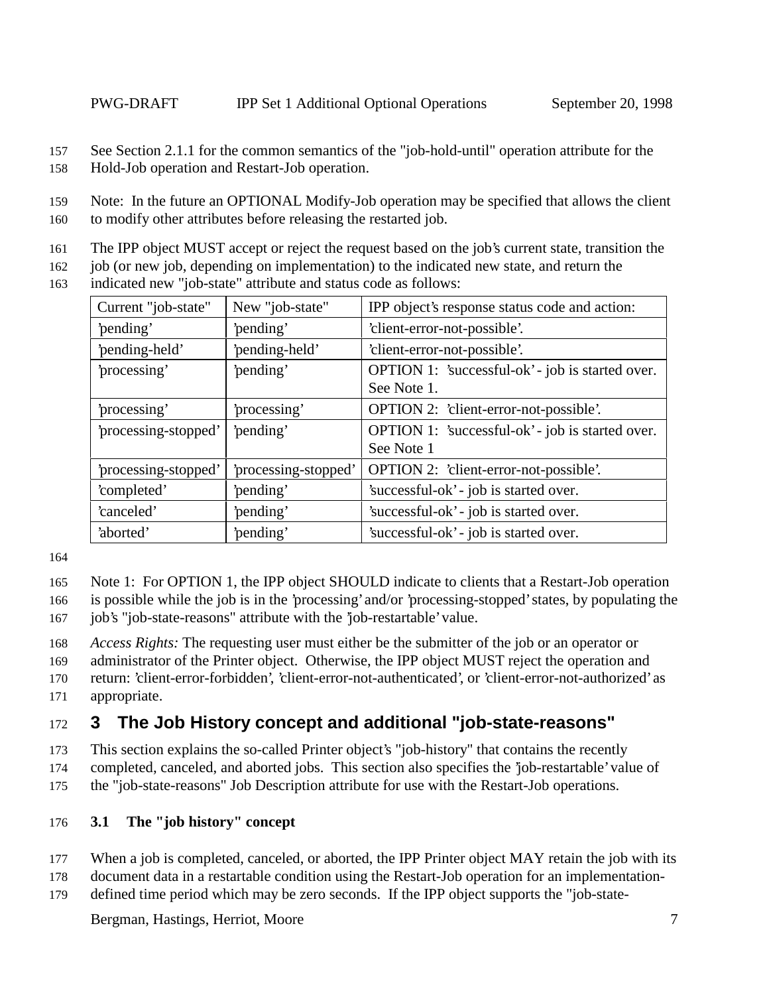157 See Section 2.1.1 for the common semantics of the "job-hold-until" operation attribute for the 158 Hold-Job operation and Restart-Job operation.

159 Note: In the future an OPTIONAL Modify-Job operation may be specified that allows the client

160 to modify other attributes before releasing the restarted job.

- 161 The IPP object MUST accept or reject the request based on the job's current state, transition the
- 162 job (or new job, depending on implementation) to the indicated new state, and return the 163 indicated new "job-state" attribute and status code as follows:

| Current "job-state"                          | New "job-state" | IPP object's response status code and action:    |
|----------------------------------------------|-----------------|--------------------------------------------------|
| 'pending'                                    | 'pending'       | 'client-error-not-possible'.                     |
| 'pending-held'                               | 'pending-held'  | 'client-error-not-possible'.                     |
| 'processing'                                 | 'pending'       | OPTION 1: 'successful-ok' - job is started over. |
|                                              |                 | See Note 1.                                      |
| 'processing'                                 | processing'     | OPTION 2: 'client-error-not-possible'.           |
| 'processing-stopped'<br>'pending'            |                 | OPTION 1: 'successful-ok' - job is started over. |
|                                              |                 | See Note 1                                       |
| 'processing-stopped'<br>'processing-stopped' |                 | OPTION 2: 'client-error-not-possible'.           |
| 'completed'<br>'pending'                     |                 | 'successful-ok' - job is started over.           |
| 'canceled'<br>'pending'                      |                 | 'successful-ok' - job is started over.           |
| 'pending'<br>'aborted'                       |                 | 'successful-ok' - job is started over.           |

164

- 165 Note 1: For OPTION 1, the IPP object SHOULD indicate to clients that a Restart-Job operation
- 166 is possible while the job is in the 'processing' and/or 'processing-stopped' states, by populating the 167 job's "job-state-reasons" attribute with the 'job-restartable' value.
- 168 *Access Rights:* The requesting user must either be the submitter of the job or an operator or

169 administrator of the Printer object. Otherwise, the IPP object MUST reject the operation and

170 return: 'client-error-forbidden', 'client-error-not-authenticated', or 'client-error-not-authorized' as

171 appropriate.

# 172 **3 The Job History concept and additional "job-state-reasons"**

173 This section explains the so-called Printer object's "job-history" that contains the recently

174 completed, canceled, and aborted jobs. This section also specifies the 'job-restartable' value of

175 the "job-state-reasons" Job Description attribute for use with the Restart-Job operations.

## 176 **3.1 The "job history" concept**

- 177 When a job is completed, canceled, or aborted, the IPP Printer object MAY retain the job with its
- 178 document data in a restartable condition using the Restart-Job operation for an implementation-
- 179 defined time period which may be zero seconds. If the IPP object supports the "job-state-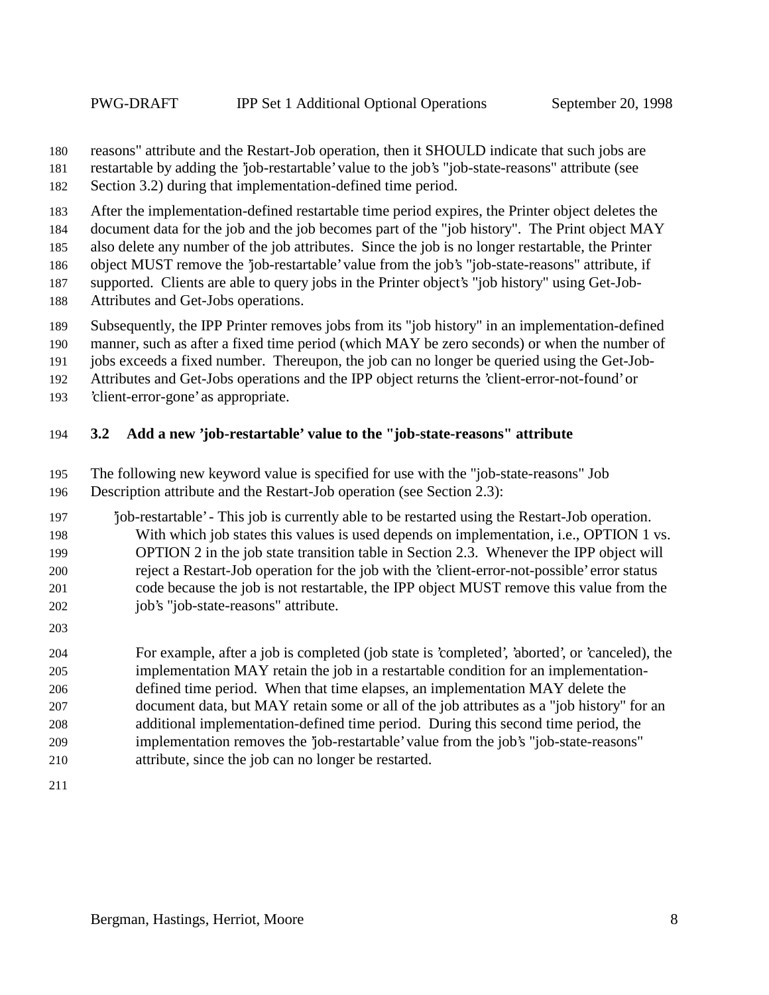- reasons" attribute and the Restart-Job operation, then it SHOULD indicate that such jobs are
- restartable by adding the 'job-restartable' value to the job's "job-state-reasons" attribute (see
- Section 3.2) during that implementation-defined time period.
- After the implementation-defined restartable time period expires, the Printer object deletes the
- document data for the job and the job becomes part of the "job history". The Print object MAY
- also delete any number of the job attributes. Since the job is no longer restartable, the Printer
- object MUST remove the 'job-restartable' value from the job's "job-state-reasons" attribute, if
- supported. Clients are able to query jobs in the Printer object's "job history" using Get-Job-
- Attributes and Get-Jobs operations.
- Subsequently, the IPP Printer removes jobs from its "job history" in an implementation-defined
- manner, such as after a fixed time period (which MAY be zero seconds) or when the number of
- jobs exceeds a fixed number. Thereupon, the job can no longer be queried using the Get-Job-
- Attributes and Get-Jobs operations and the IPP object returns the 'client-error-not-found' or
- 'client-error-gone' as appropriate.

#### **3.2 Add a new 'job-restartable' value to the "job-state-reasons" attribute**

- The following new keyword value is specified for use with the "job-state-reasons" Job
- Description attribute and the Restart-Job operation (see Section 2.3):
- 'job-restartable' This job is currently able to be restarted using the Restart-Job operation. With which job states this values is used depends on implementation, i.e., OPTION 1 vs. OPTION 2 in the job state transition table in Section 2.3. Whenever the IPP object will reject a Restart-Job operation for the job with the 'client-error-not-possible' error status code because the job is not restartable, the IPP object MUST remove this value from the job's "job-state-reasons" attribute.
- 

 For example, after a job is completed (job state is 'completed', 'aborted', or 'canceled), the implementation MAY retain the job in a restartable condition for an implementation- defined time period. When that time elapses, an implementation MAY delete the document data, but MAY retain some or all of the job attributes as a "job history" for an additional implementation-defined time period. During this second time period, the implementation removes the 'job-restartable' value from the job's "job-state-reasons" attribute, since the job can no longer be restarted.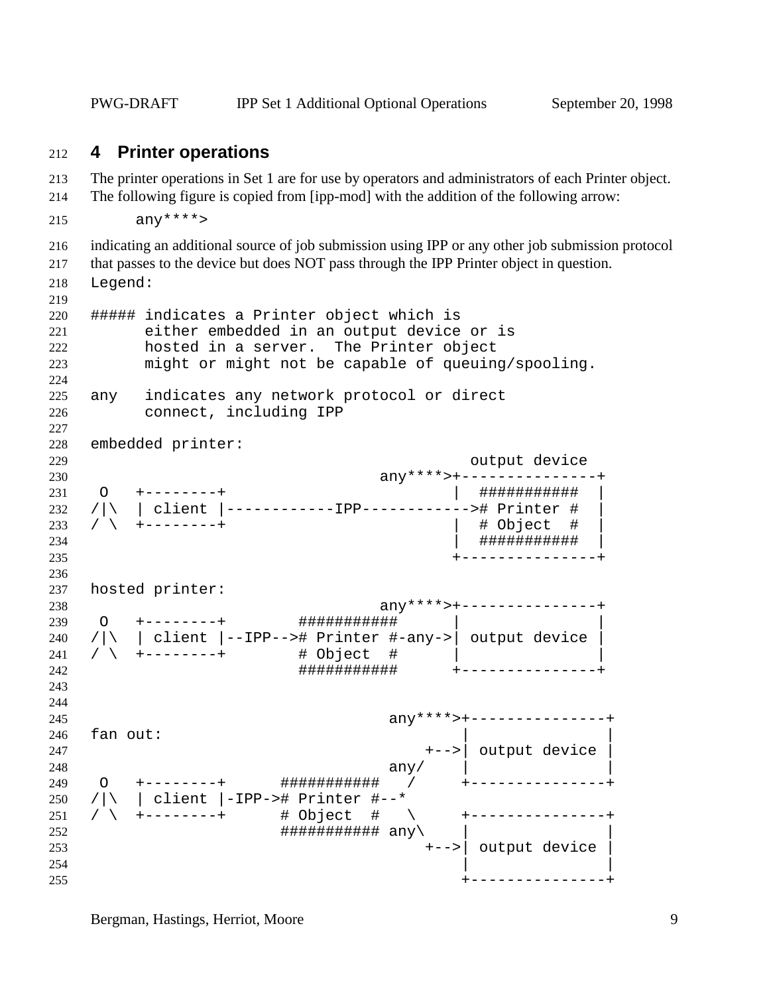PWG-DRAFT IPP Set 1 Additional Optional Operations September 20, 1998

#### **4 Printer operations**

- The printer operations in Set 1 are for use by operators and administrators of each Printer object.
- The following figure is copied from [ipp-mod] with the addition of the following arrow:
- $anx***$
- indicating an additional source of job submission using IPP or any other job submission protocol
- that passes to the device but does NOT pass through the IPP Printer object in question.
- Legend:

```
219
220 ##### indicates a Printer object which is
221 either embedded in an output device or is
222 hosted in a server. The Printer object
223 might or might not be capable of queuing/spooling.
224
225 any indicates any network protocol or direct
226 connect, including IPP
227
228 embedded printer:
229 output device
230 any****>+---------------+
231 O +--------+ | ########### |
232 /|\ | client |------------IPP------------># Printer # |
233 / \setminus +--------+
234 | ########### |
235 +---------------+
236
237 hosted printer:
238 any****>+---------------+
239 O +--------+ ########### | |
240 /|\rangle | client |--IPP--># Printer #-any->| output device |
241 / \ +--------+ # Object # | |
242 ########### +---------------+
243
244
245 any****>+---------------+
246 fan out:
247 +-->| output device |
248 any \langle \text{any} \rangle any \langle \text{any} \rangle any \langle \text{any} \rangle any \langle \text{any} \rangle and \langle \text{any} \rangle and \langle \text{any} \rangle and \langle \text{any} \rangle and \langle \text{any} \rangle and \langle \text{any} \rangle and \langle \text{any} \rangle and \langle \text{any} \rangle and \langle \text{any} \rangle and \langle \text{any} \rangle and \langle \text249 O +--------+ ########### / +---------------+
250 /|\ | client |-IPP-># Printer #--*
251 / \ +--------+ # Object # \ +---------------+
252 ############### any
253 +-->| output device |
254 | \qquad \qquad \vert255 +---------------+
```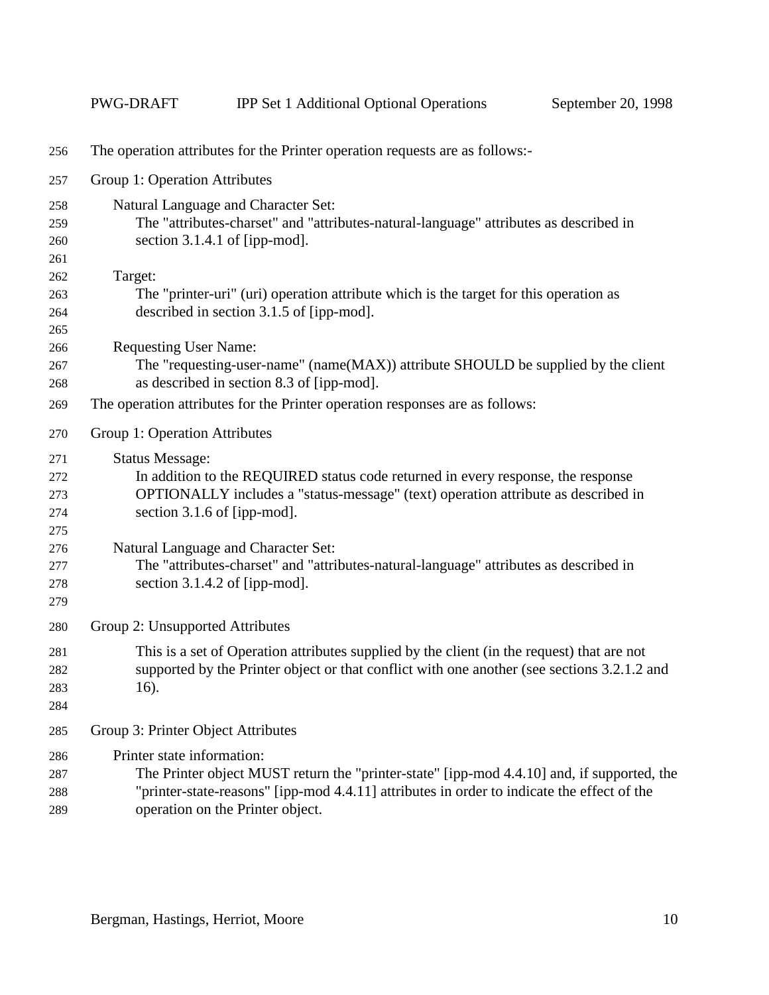|     | <b>PWG-DRAFT</b>                                                                      | <b>IPP Set 1 Additional Optional Operations</b>                                             | September 20, 1998 |  |  |  |
|-----|---------------------------------------------------------------------------------------|---------------------------------------------------------------------------------------------|--------------------|--|--|--|
| 256 | The operation attributes for the Printer operation requests are as follows:-          |                                                                                             |                    |  |  |  |
| 257 | Group 1: Operation Attributes                                                         |                                                                                             |                    |  |  |  |
| 258 |                                                                                       | Natural Language and Character Set:                                                         |                    |  |  |  |
| 259 |                                                                                       | The "attributes-charset" and "attributes-natural-language" attributes as described in       |                    |  |  |  |
| 260 | section $3.1.4.1$ of [ipp-mod].                                                       |                                                                                             |                    |  |  |  |
| 261 |                                                                                       |                                                                                             |                    |  |  |  |
| 262 | Target:                                                                               |                                                                                             |                    |  |  |  |
| 263 |                                                                                       | The "printer-uri" (uri) operation attribute which is the target for this operation as       |                    |  |  |  |
| 264 |                                                                                       | described in section 3.1.5 of [ipp-mod].                                                    |                    |  |  |  |
| 265 |                                                                                       |                                                                                             |                    |  |  |  |
| 266 | <b>Requesting User Name:</b>                                                          |                                                                                             |                    |  |  |  |
| 267 |                                                                                       | The "requesting-user-name" (name(MAX)) attribute SHOULD be supplied by the client           |                    |  |  |  |
| 268 |                                                                                       | as described in section 8.3 of [ipp-mod].                                                   |                    |  |  |  |
| 269 | The operation attributes for the Printer operation responses are as follows:          |                                                                                             |                    |  |  |  |
| 270 | Group 1: Operation Attributes                                                         |                                                                                             |                    |  |  |  |
| 271 | <b>Status Message:</b>                                                                |                                                                                             |                    |  |  |  |
| 272 | In addition to the REQUIRED status code returned in every response, the response      |                                                                                             |                    |  |  |  |
| 273 | OPTIONALLY includes a "status-message" (text) operation attribute as described in     |                                                                                             |                    |  |  |  |
| 274 | section 3.1.6 of [ipp-mod].                                                           |                                                                                             |                    |  |  |  |
| 275 |                                                                                       |                                                                                             |                    |  |  |  |
| 276 | Natural Language and Character Set:                                                   |                                                                                             |                    |  |  |  |
| 277 | The "attributes-charset" and "attributes-natural-language" attributes as described in |                                                                                             |                    |  |  |  |
| 278 |                                                                                       | section $3.1.4.2$ of [ipp-mod].                                                             |                    |  |  |  |
| 279 |                                                                                       |                                                                                             |                    |  |  |  |
| 280 | Group 2: Unsupported Attributes                                                       |                                                                                             |                    |  |  |  |
| 281 |                                                                                       | This is a set of Operation attributes supplied by the client (in the request) that are not  |                    |  |  |  |
| 282 |                                                                                       | supported by the Printer object or that conflict with one another (see sections 3.2.1.2 and |                    |  |  |  |
| 283 | 16).                                                                                  |                                                                                             |                    |  |  |  |
| 284 |                                                                                       |                                                                                             |                    |  |  |  |
| 285 | Group 3: Printer Object Attributes                                                    |                                                                                             |                    |  |  |  |
| 286 | Printer state information:                                                            |                                                                                             |                    |  |  |  |
| 287 |                                                                                       | The Printer object MUST return the "printer-state" [ipp-mod 4.4.10] and, if supported, the  |                    |  |  |  |
| 288 |                                                                                       | "printer-state-reasons" [ipp-mod 4.4.11] attributes in order to indicate the effect of the  |                    |  |  |  |
| 289 | operation on the Printer object.                                                      |                                                                                             |                    |  |  |  |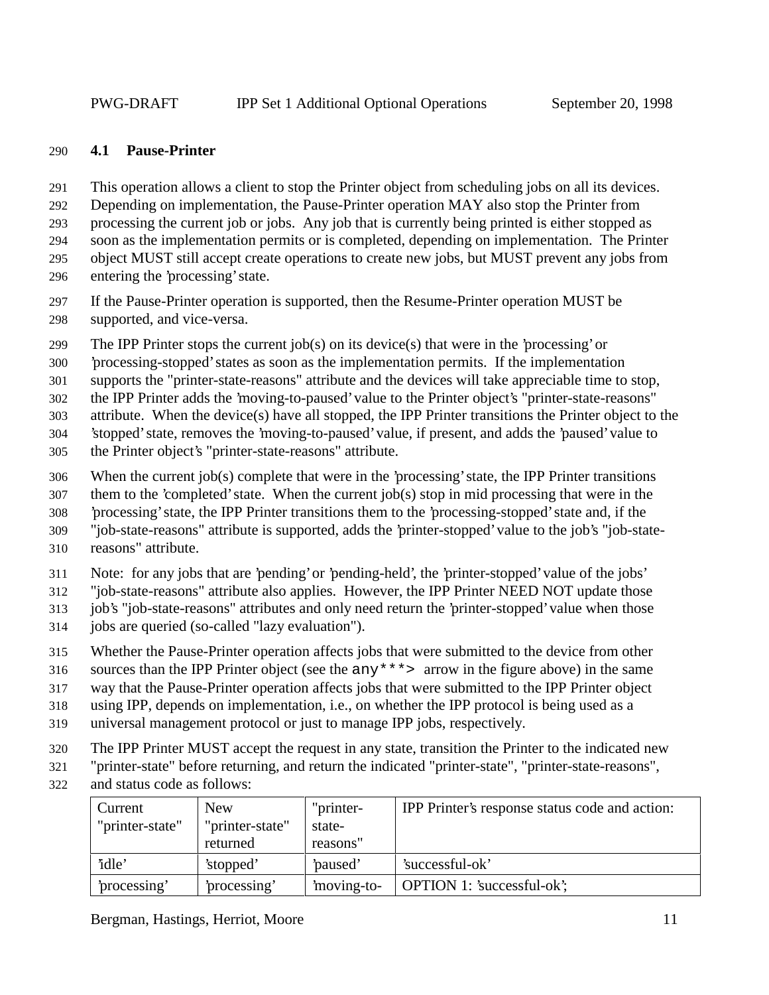#### **4.1 Pause-Printer**

This operation allows a client to stop the Printer object from scheduling jobs on all its devices.

Depending on implementation, the Pause-Printer operation MAY also stop the Printer from

processing the current job or jobs. Any job that is currently being printed is either stopped as

soon as the implementation permits or is completed, depending on implementation. The Printer

object MUST still accept create operations to create new jobs, but MUST prevent any jobs from

entering the 'processing' state.

 If the Pause-Printer operation is supported, then the Resume-Printer operation MUST be supported, and vice-versa.

299 The IPP Printer stops the current job(s) on its device(s) that were in the 'processing' or

'processing-stopped' states as soon as the implementation permits. If the implementation

supports the "printer-state-reasons" attribute and the devices will take appreciable time to stop,

the IPP Printer adds the 'moving-to-paused' value to the Printer object's "printer-state-reasons"

attribute. When the device(s) have all stopped, the IPP Printer transitions the Printer object to the

'stopped' state, removes the 'moving-to-paused' value, if present, and adds the 'paused' value to

the Printer object's "printer-state-reasons" attribute.

When the current job(s) complete that were in the 'processing' state, the IPP Printer transitions

them to the 'completed' state. When the current job(s) stop in mid processing that were in the

'processing' state, the IPP Printer transitions them to the 'processing-stopped' state and, if the

"job-state-reasons" attribute is supported, adds the 'printer-stopped' value to the job's "job-state-

reasons" attribute.

Note: for any jobs that are 'pending' or 'pending-held', the 'printer-stopped' value of the jobs'

"job-state-reasons" attribute also applies. However, the IPP Printer NEED NOT update those

job's "job-state-reasons" attributes and only need return the 'printer-stopped' value when those

- jobs are queried (so-called "lazy evaluation").
- Whether the Pause-Printer operation affects jobs that were submitted to the device from other

sources than the IPP Printer object (see the any\*\*\*> arrow in the figure above) in the same

way that the Pause-Printer operation affects jobs that were submitted to the IPP Printer object

using IPP, depends on implementation, i.e., on whether the IPP protocol is being used as a

- universal management protocol or just to manage IPP jobs, respectively.
- The IPP Printer MUST accept the request in any state, transition the Printer to the indicated new

"printer-state" before returning, and return the indicated "printer-state", "printer-state-reasons",

and status code as follows:

| Current<br>"printer-state" | <b>New</b><br>"printer-state" | "printer-<br>state- | IPP Printer's response status code and action: |
|----------------------------|-------------------------------|---------------------|------------------------------------------------|
|                            | returned                      | reasons"            |                                                |
| 'idle'                     | 'stopped'                     | paused'             | 'successful-ok'                                |
| processing'                | processing'                   | moving-to-          | OPTION 1: 'successful-ok';                     |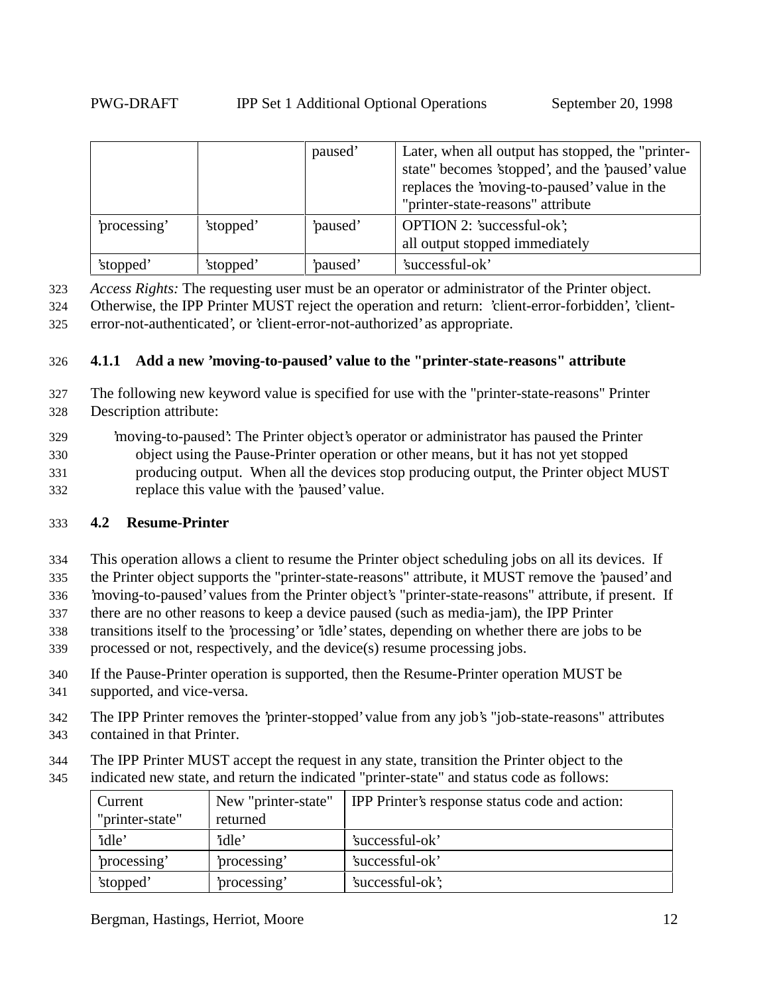|              |           | paused' | Later, when all output has stopped, the "printer-<br>state" becomes 'stopped', and the 'paused' value<br>replaces the 'moving-to-paused' value in the<br>"printer-state-reasons" attribute |
|--------------|-----------|---------|--------------------------------------------------------------------------------------------------------------------------------------------------------------------------------------------|
| 'processing' | 'stopped' | paused' | <b>OPTION 2: 'successful-ok';</b><br>all output stopped immediately                                                                                                                        |
| 'stopped'    | 'stopped' | paused' | 'successful-ok'                                                                                                                                                                            |

323 *Access Rights:* The requesting user must be an operator or administrator of the Printer object.

324 Otherwise, the IPP Printer MUST reject the operation and return: 'client-error-forbidden', 'client-325 error-not-authenticated', or 'client-error-not-authorized' as appropriate.

#### 326 **4.1.1 Add a new 'moving-to-paused' value to the "printer-state-reasons" attribute**

- 327 The following new keyword value is specified for use with the "printer-state-reasons" Printer 328 Description attribute:
- 329 'moving-to-paused': The Printer object's operator or administrator has paused the Printer 330 object using the Pause-Printer operation or other means, but it has not yet stopped 331 producing output. When all the devices stop producing output, the Printer object MUST 332 replace this value with the 'paused' value.

#### 333 **4.2 Resume-Printer**

- 334 This operation allows a client to resume the Printer object scheduling jobs on all its devices. If
- 335 the Printer object supports the "printer-state-reasons" attribute, it MUST remove the 'paused' and
- 336 'moving-to-paused' values from the Printer object's "printer-state-reasons" attribute, if present. If
- 337 there are no other reasons to keep a device paused (such as media-jam), the IPP Printer
- 338 transitions itself to the 'processing' or 'idle' states, depending on whether there are jobs to be
- 339 processed or not, respectively, and the device(s) resume processing jobs.
- 340 If the Pause-Printer operation is supported, then the Resume-Printer operation MUST be
- 341 supported, and vice-versa.
- 342 The IPP Printer removes the 'printer-stopped' value from any job's "job-state-reasons" attributes
- 343 contained in that Printer.
- 344 The IPP Printer MUST accept the request in any state, transition the Printer object to the
- 345 indicated new state, and return the indicated "printer-state" and status code as follows:

| Current         | New "printer-state" | IPP Printer's response status code and action: |
|-----------------|---------------------|------------------------------------------------|
| "printer-state" | returned            |                                                |
| 'idle'          | 'idle'              | 'successful-ok'                                |
| processing'     | processing'         | 'successful-ok'                                |
| 'stopped'       | processing'         | 'successful-ok';                               |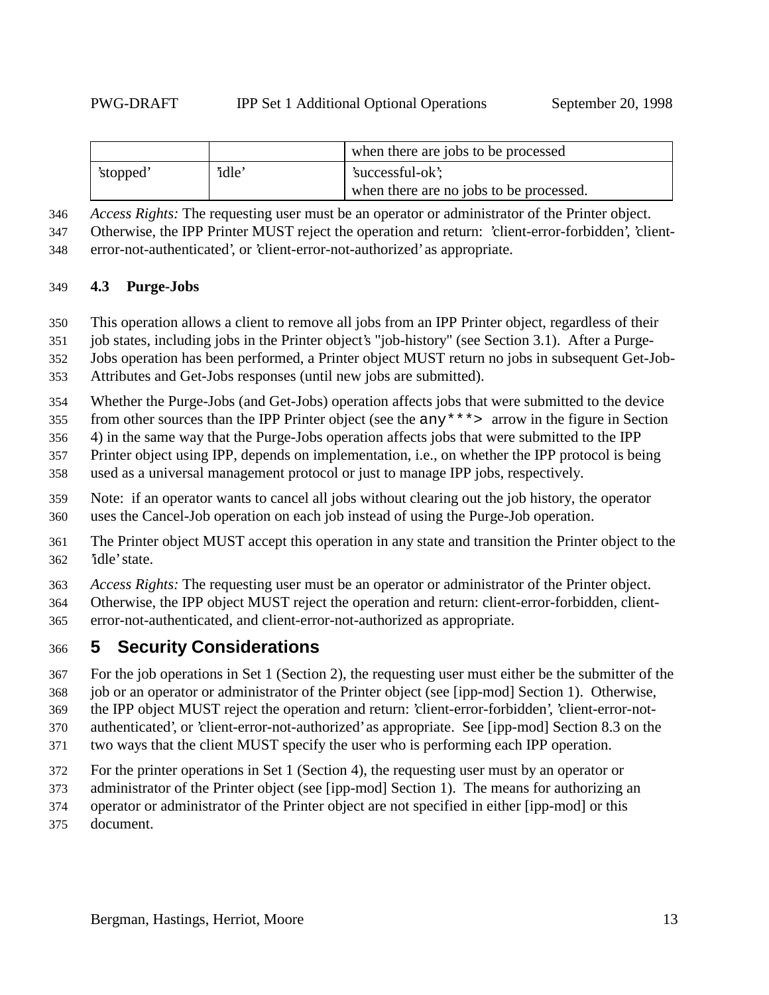|           |        | when there are jobs to be processed     |
|-----------|--------|-----------------------------------------|
| 'stopped' | 'idle' | 'successful-ok';                        |
|           |        | when there are no jobs to be processed. |

*Access Rights:* The requesting user must be an operator or administrator of the Printer object.

Otherwise, the IPP Printer MUST reject the operation and return: 'client-error-forbidden', 'client-

error-not-authenticated', or 'client-error-not-authorized' as appropriate.

#### **4.3 Purge-Jobs**

This operation allows a client to remove all jobs from an IPP Printer object, regardless of their

job states, including jobs in the Printer object's "job-history" (see Section 3.1). After a Purge-

Jobs operation has been performed, a Printer object MUST return no jobs in subsequent Get-Job-

Attributes and Get-Jobs responses (until new jobs are submitted).

Whether the Purge-Jobs (and Get-Jobs) operation affects jobs that were submitted to the device

from other sources than the IPP Printer object (see the any\*\*\*> arrow in the figure in Section

4) in the same way that the Purge-Jobs operation affects jobs that were submitted to the IPP

Printer object using IPP, depends on implementation, i.e., on whether the IPP protocol is being

used as a universal management protocol or just to manage IPP jobs, respectively.

 Note: if an operator wants to cancel all jobs without clearing out the job history, the operator uses the Cancel-Job operation on each job instead of using the Purge-Job operation.

 The Printer object MUST accept this operation in any state and transition the Printer object to the 'idle' state.

*Access Rights:* The requesting user must be an operator or administrator of the Printer object.

 Otherwise, the IPP object MUST reject the operation and return: client-error-forbidden, client-error-not-authenticated, and client-error-not-authorized as appropriate.

## **5 Security Considerations**

For the job operations in Set 1 (Section 2), the requesting user must either be the submitter of the

job or an operator or administrator of the Printer object (see [ipp-mod] Section 1). Otherwise,

the IPP object MUST reject the operation and return: 'client-error-forbidden', 'client-error-not-

authenticated', or 'client-error-not-authorized' as appropriate. See [ipp-mod] Section 8.3 on the

two ways that the client MUST specify the user who is performing each IPP operation.

For the printer operations in Set 1 (Section 4), the requesting user must by an operator or

administrator of the Printer object (see [ipp-mod] Section 1). The means for authorizing an

operator or administrator of the Printer object are not specified in either [ipp-mod] or this

document.